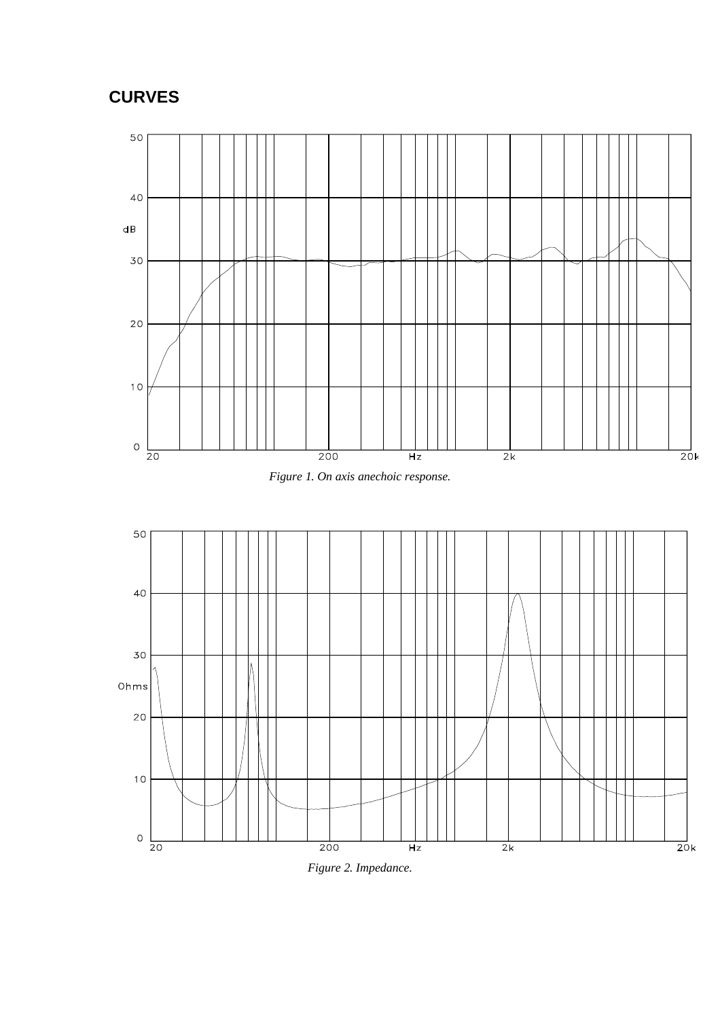## **CURVES**







*Figure 2. Impedance.*